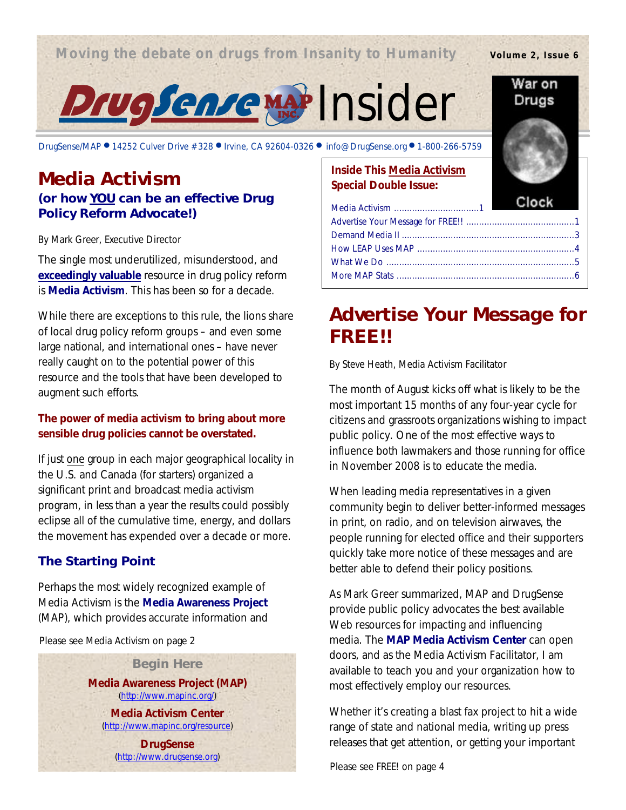### **Moving the debate on drugs from Insanity to Humanity**

**Volume 2, Issue 6**

War on Drugs



#### DrugSense/MAP ● 14252 Culver Drive #328 ● Irvine, CA 92604-0326 ● info@DrugSense.org ● 1-800-266-5759

### **Media Activism (or how YOU can be an effective Drug Policy Reform Advocate!)**

#### *By Mark Greer, Executive Director*

The single most underutilized, misunderstood, and **exceedingly valuable** resource in drug policy reform is **Media Activism**. This has been so for a decade.

While there are exceptions to this rule, the lions share of local drug policy reform groups – and even some large national, and international ones – have never really caught on to the potential power of this resource and the tools that have been developed to augment such efforts.

### **The power of media activism to bring about more sensible drug policies cannot be overstated.**

If just *one* group in each major geographical locality in the U.S. and Canada (for starters) organized a significant print and broadcast media activism program, in less than a year the results could possibly eclipse all of the cumulative time, energy, and dollars the movement has expended over a decade or more.

### **The Starting Point**

Perhaps the most widely recognized example of Media Activism is the **Media Awareness Project** (MAP), which provides accurate information and

Please see *Media Activism* on page 2

**Begin Here Media Awareness Project (MAP)** (http://www.mapinc.org/)

> **Media Activism Center** (http://www.mapinc.org/resource)

**DrugSense** (http://www.drugsense.org)

### **Inside This Media Activism Special Double Issue:**

### **Advertise Your Message for FREE!!**

*By Steve Heath, Media Activism Facilitator*

The month of August kicks off what is likely to be the most important 15 months of any four-year cycle for citizens and grassroots organizations wishing to impact public policy. One of the most effective ways to influence both lawmakers and those running for office in November 2008 is to educate the media.

When leading media representatives in a given community begin to deliver better-informed messages in print, on radio, and on television airwaves, the people running for elected office and their supporters quickly take more notice of these messages and are better able to defend their policy positions.

As Mark Greer summarized, MAP and DrugSense provide public policy advocates the best available Web resources for impacting and influencing media. The **MAP Media Activism Center** can open doors, and as the Media Activism Facilitator, I am available to teach you and your organization how to most effectively employ our resources.

Whether it's creating a blast fax project to hit a wide range of state and national media, writing up press releases that get attention, or getting your important

Please see *FREE!* on page 4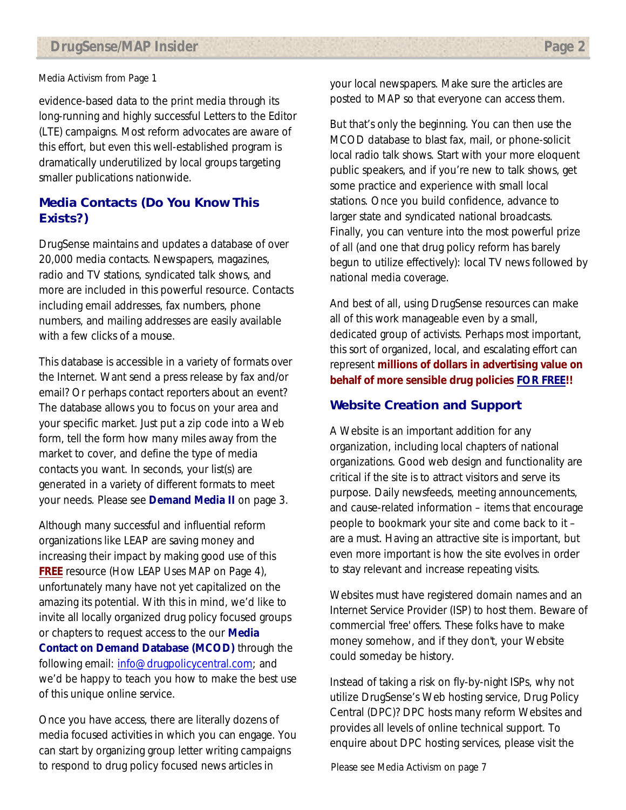evidence-based data to the print media through its long-running and highly successful Letters to the Editor (LTE) campaigns. Most reform advocates are aware of this effort, but even this well-established program is dramatically underutilized by local groups targeting smaller publications nationwide.

### **Media Contacts (Do You Know This Exists?)**

DrugSense maintains and updates a database of over 20,000 media contacts. Newspapers, magazines, radio and TV stations, syndicated talk shows, and more are included in this powerful resource. Contacts including email addresses, fax numbers, phone numbers, and mailing addresses are easily available with a few clicks of a mouse.

This database is accessible in a variety of formats over the Internet. Want send a press release by fax and/or email? Or perhaps contact reporters about an event? The database allows you to focus on your area and your specific market. Just put a zip code into a Web form, tell the form how many miles away from the market to cover, and define the type of media contacts you want. In seconds, your list(s) are generated in a variety of different formats to meet your needs. Please see *Demand Media II* on page 3.

Although many successful and influential reform organizations like LEAP are saving money and increasing their impact by making good use of this **FREE** resource (*How LEAP Uses MAP* on Page 4), unfortunately many have not yet capitalized on the amazing its potential. With this in mind, we'd like to invite all locally organized drug policy focused groups or chapters to request access to the our **Media Contact on Demand Database (MCOD)** through the following email: info@drugpolicycentral.com; and we'd be happy to teach you how to make the best use of this unique online service.

Once you have access, there are literally dozens of media focused activities in which you can engage. You can start by organizing group letter writing campaigns to respond to drug policy focused news articles in

*Media Activism* from Page 1 your local newspapers. Make sure the articles are posted to MAP so that everyone can access them.

> But that's only the beginning. You can then use the MCOD database to blast fax, mail, or phone-solicit local radio talk shows. Start with your more eloquent public speakers, and if you're new to talk shows, get some practice and experience with small local stations. Once you build confidence, advance to larger state and syndicated national broadcasts. Finally, you can venture into the most powerful prize of all (and one that drug policy reform has barely begun to utilize effectively): local TV news followed by national media coverage.

And best of all, using DrugSense resources can make all of this work manageable even by a small, dedicated group of activists. Perhaps most important, this sort of organized, local, and escalating effort can represent **millions of dollars in advertising value on behalf of more sensible drug policies FOR FREE!!**

### **Website Creation and Support**

A Website is an important addition for any organization, including local chapters of national organizations. Good web design and functionality are critical if the site is to attract visitors and serve its purpose. Daily newsfeeds, meeting announcements, and cause-related information – items that encourage people to bookmark your site and come back to it – are a must. Having an attractive site is important, but even more important is how the site evolves in order to stay relevant and increase repeating visits.

Websites must have registered domain names and an Internet Service Provider (ISP) to host them. Beware of commercial 'free' offers. These folks have to make money somehow, and if they don't, your Website could someday be history.

Instead of taking a risk on fly-by-night ISPs, why not utilize DrugSense's Web hosting service, Drug Policy Central (DPC)? DPC hosts many reform Websites and provides all levels of online technical support. To enquire about DPC hosting services, please visit the

Please see *Media Activism* on page 7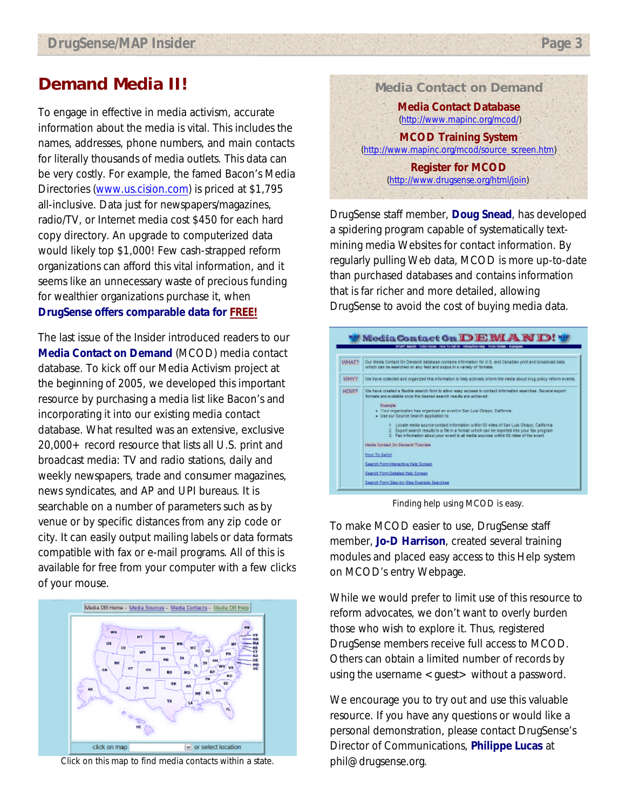### **Demand Media II!**

To engage in effective in media activism, accurate information about the media is vital. This includes the names, addresses, phone numbers, and main contacts for literally thousands of media outlets. This data can be very costly. For example, the famed Bacon's Media Directories (www.us.cision.com) is priced at \$1,795 all-inclusive. Data just for newspapers/magazines, radio/TV, or Internet media cost \$450 for each hard copy directory. An upgrade to computerized data would likely top \$1,000! Few cash-strapped reform organizations can afford this vital information, and it seems like an unnecessary waste of precious funding for wealthier organizations purchase it, when **DrugSense offers comparable data for FREE!**

The last issue of the *Insider* introduced readers to our **Media Contact on Demand** (MCOD) media contact database. To kick off our Media Activism project at the beginning of 2005, we developed this important resource by purchasing a media list like Bacon's and incorporating it into our existing media contact database. What resulted was an extensive, exclusive 20,000+ record resource that lists all U.S. print and broadcast media: TV and radio stations, daily and weekly newspapers, trade and consumer magazines, news syndicates, and AP and UPI bureaus. It is searchable on a number of parameters such as by venue or by specific distances from any zip code or city. It can easily output mailing labels or data formats compatible with fax or e-mail programs. All of this is available for free from your computer with a few clicks of your mouse.



Click on this map to find media contacts within a state.



DrugSense staff member, **Doug Snead**, has developed a spidering program capable of systematically textmining media Websites for contact information. By regularly pulling Web data, MCOD is more up-to-date than purchased databases and contains information that is far richer and more detailed, allowing DrugSense to avoid the cost of buying media data.



Finding help using MCOD is easy.

To make MCOD easier to use, DrugSense staff member, **Jo-D Harrison**, created several training modules and placed easy access to this Help system on MCOD's entry Webpage.

While we would prefer to limit use of this resource to reform advocates, we don't want to overly burden those who wish to explore it. Thus, registered DrugSense members receive full access to MCOD. Others can obtain a limited number of records by using the username <guest> without a password.

We encourage you to try out and use this valuable resource. If you have any questions or would like a personal demonstration, please contact DrugSense's Director of Communications, **Philippe Lucas** at phil@drugsense.org.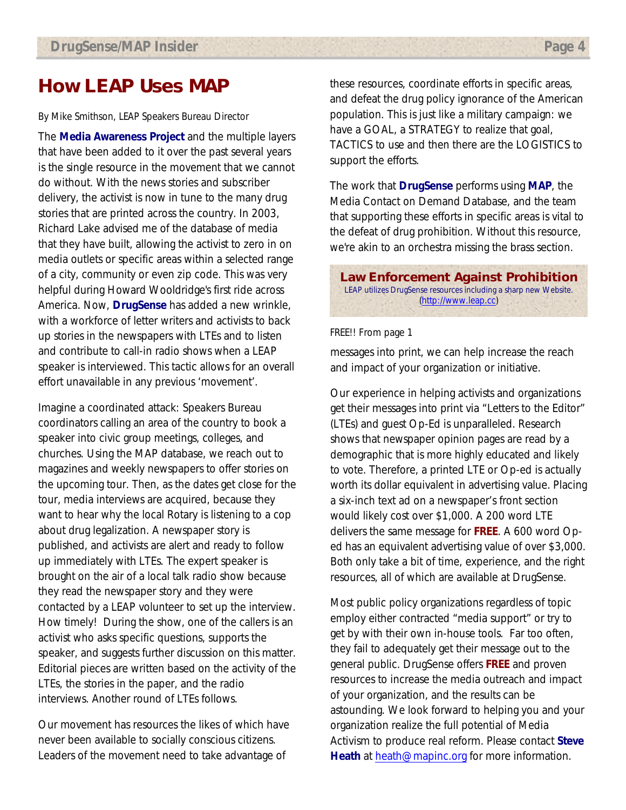### **How LEAP Uses MAP**

#### *By Mike Smithson, LEAP Speakers Bureau Director*

The **Media Awareness Project** and the multiple layers that have been added to it over the past several years is the single resource in the movement that we cannot do without. With the news stories and subscriber delivery, the activist is now in tune to the many drug stories that are printed across the country. In 2003, Richard Lake advised me of the database of media that they have built, allowing the activist to zero in on media outlets or specific areas within a selected range of a city, community or even zip code. This was very helpful during Howard Wooldridge's first ride across America. Now, **DrugSense** has added a new wrinkle, with a workforce of letter writers and activists to back up stories in the newspapers with LTEs and to listen and contribute to call-in radio shows when a LEAP speaker is interviewed. This tactic allows for an overall effort unavailable in any previous 'movement'.

Imagine a coordinated attack: Speakers Bureau coordinators calling an area of the country to book a speaker into civic group meetings, colleges, and churches. Using the MAP database, we reach out to magazines and weekly newspapers to offer stories on the upcoming tour. Then, as the dates get close for the tour, media interviews are acquired, because they want to hear why the local Rotary is listening to a cop about drug legalization. A newspaper story is published, and activists are alert and ready to follow up immediately with LTEs. The expert speaker is brought on the air of a local talk radio show because they read the newspaper story and they were contacted by a LEAP volunteer to set up the interview. How timely! During the show, one of the callers is an activist who asks specific questions, supports the speaker, and suggests further discussion on this matter. Editorial pieces are written based on the activity of the LTEs, the stories in the paper, and the radio interviews. Another round of LTEs follows.

Our movement has resources the likes of which have never been available to socially conscious citizens. Leaders of the movement need to take advantage of

these resources, coordinate efforts in specific areas, and defeat the drug policy ignorance of the American population. This is just like a military campaign: we have a GOAL, a STRATEGY to realize that goal, TACTICS to use and then there are the LOGISTICS to support the efforts.

The work that **DrugSense** performs using **MAP**, the Media Contact on Demand Database, and the team that supporting these efforts in specific areas is vital to the defeat of drug prohibition. Without this resource, we're akin to an orchestra missing the brass section.

**Law Enforcement Against Prohibition** LEAP utilizes DrugSense resources including a sharp new Website. (http://www.leap.cc)

#### *FREE!!* From page 1

messages into print, we can help increase the reach and impact of your organization or initiative.

Our experience in helping activists and organizations get their messages into print via "Letters to the Editor" (LTEs) and guest Op-Ed is unparalleled. Research shows that newspaper opinion pages are read by a demographic that is more highly educated and likely to vote. Therefore, a printed LTE or Op-ed is actually worth its dollar equivalent in advertising value. Placing a six-inch text ad on a newspaper's front section would likely cost over \$1,000. A 200 word LTE delivers the same message for **FREE**. A 600 word Oped has an equivalent advertising value of over \$3,000. Both only take a bit of time, experience, and the right resources, all of which are available at DrugSense.

Most public policy organizations regardless of topic employ either contracted "media support" or try to get by with their own in-house tools. Far too often, they fail to adequately get their message out to the general public. DrugSense offers **FREE** and proven resources to increase the media outreach and impact of your organization, and the results can be astounding. We look forward to helping you and your organization realize the full potential of Media Activism to produce real reform. Please contact **Steve Heath** at heath@mapinc.org for more information.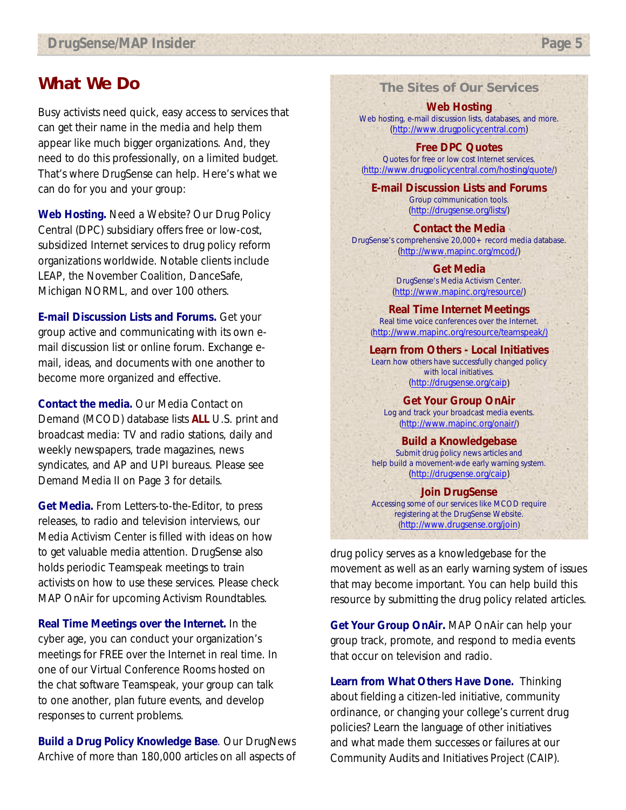### **What We Do**

Busy activists need quick, easy access to services that can get their name in the media and help them appear like much bigger organizations. And, they need to do this professionally, on a limited budget. That's where DrugSense can help. Here's what we can do for you and your group:

**Web Hosting.** Need a Website? Our Drug Policy Central (DPC) subsidiary offers free or low-cost, subsidized Internet services to drug policy reform organizations worldwide. Notable clients include LEAP, the November Coalition, DanceSafe, Michigan NORML, and over 100 others.

**E-mail Discussion Lists and Forums.** Get your group active and communicating with its own email discussion list or online forum. Exchange email, ideas, and documents with one another to become more organized and effective.

**Contact the media.** Our Media Contact on Demand (MCOD) database lists **ALL** U.S. print and broadcast media: TV and radio stations, daily and weekly newspapers, trade magazines, news syndicates, and AP and UPI bureaus. Please see *Demand Media II* on Page 3 for details.

**Get Media.** From Letters-to-the-Editor, to press releases, to radio and television interviews, our Media Activism Center is filled with ideas on how to get valuable media attention. DrugSense also holds periodic Teamspeak meetings to train activists on how to use these services. Please check MAP OnAir for upcoming Activism Roundtables.

**Real Time Meetings over the Internet.** In the cyber age, you can conduct your organization's meetings for FREE over the Internet in real time. In one of our Virtual Conference Rooms hosted on the chat software Teamspeak, your group can talk to one another, plan future events, and develop responses to current problems.

**Build a Drug Policy Knowledge Base**. Our DrugNews Archive of more than 180,000 articles on all aspects of **The Sites of Our Services**

**Web Hosting** Web hosting, e-mail discussion lists, databases, and more. (http://www.drugpolicycentral.com)

**Free DPC Quotes** Quotes for free or low cost Internet services. (http://www.drugpolicycentral.com/hosting/quote/)

**E-mail Discussion Lists and Forums** Group communication tools. (http://drugsense.org/lists/)

**Contact the Media** DrugSense's comprehensive 20,000+ record media database. (http://www.mapinc.org/mcod/)

> **Get Media** DrugSense's Media Activism Center. (http://www.mapinc.org/resource/)

**Real Time Internet Meetings** Real time voice conferences over the Internet. (http://www.mapinc.org/resource/teamspeak/)

**Learn from Others - Local Initiatives** Learn how others have successfully changed policy with local initiatives. (http://drugsense.org/caip)

**Get Your Group OnAir** Log and track your broadcast media events. (http://www.mapinc.org/onair/)

**Build a Knowledgebase** Submit drug policy news articles and help build a movement-wde early warning system. (http://drugsense.org/caip)

**Join DrugSense** Accessing some of our services like MCOD require registering at the DrugSense Website. (http://www.drugsense.org/join)

drug policy serves as a knowledgebase for the movement as well as an early warning system of issues that may become important. You can help build this resource by submitting the drug policy related articles.

**Get Your Group OnAir.** MAP OnAir can help your group track, promote, and respond to media events that occur on television and radio.

**Learn from What Others Have Done.** Thinking about fielding a citizen-led initiative, community ordinance, or changing your college's current drug policies? Learn the language of other initiatives and what made them successes or failures at our Community Audits and Initiatives Project (CAIP).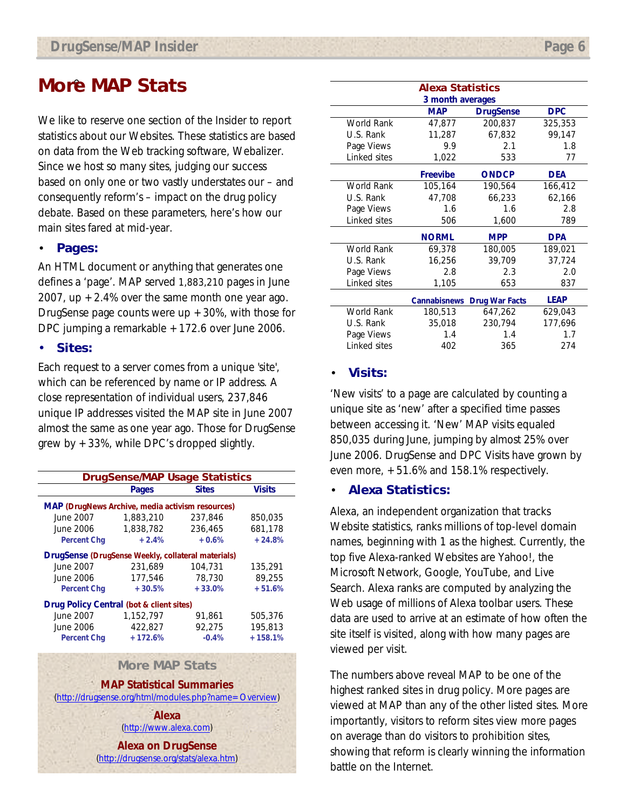### **More MAP Stats**

We like to reserve one section of the *Insider* to report statistics about our Websites. These statistics are based on data from the Web tracking software, Webalizer. Since we host so many sites, judging our success based on only one or two vastly understates our – and consequently reform's – impact on the drug policy debate. Based on these parameters, here's how our main sites fared at mid-year.

### • **Pages:**

An HTML document or anything that generates one defines a 'page'. MAP served 1,883,210 pages in June 2007, up  $+2.4\%$  over the same month one year ago. DrugSense page counts were up  $+30%$ , with those for DPC jumping a remarkable +172.6 over June 2006.

#### • **Sites:**

Each request to a server comes from a unique 'site', which can be referenced by name or IP address. A close representation of individual users, 237,846 unique IP addresses visited the MAP site in June 2007 almost the same as one year ago. Those for DrugSense grew by +33%, while DPC's dropped slightly.

| <b>DrugSense/MAP Usage Statistics</b>                   |           |              |               |  |  |
|---------------------------------------------------------|-----------|--------------|---------------|--|--|
|                                                         | Pages     | <b>Sites</b> | <b>Visits</b> |  |  |
| <b>MAP (DrugNews Archive, media activism resources)</b> |           |              |               |  |  |
| June 2007                                               | 1,883,210 | 237,846      | 850,035       |  |  |
| June 2006                                               | 1,838,782 | 236,465      | 681.178       |  |  |
| <b>Percent Chg</b>                                      | $+2.4%$   | $+0.6%$      | $+24.8%$      |  |  |
| DrugSense (DrugSense Weekly, collateral materials)      |           |              |               |  |  |
| June 2007                                               | 231.689   | 104,731      | 135,291       |  |  |
| June 2006                                               | 177,546   | 78,730       | 89.255        |  |  |
| <b>Percent Chg</b>                                      | $+30.5%$  | $+33.0%$     | $+51.6%$      |  |  |
| Drug Policy Central (bot & client sites)                |           |              |               |  |  |
| June 2007                                               | 1.152.797 | 91.861       | 505,376       |  |  |
| June 2006                                               | 422,827   | 92.275       | 195,813       |  |  |
| <b>Percent Chg</b>                                      | $+172.6%$ | $-0.4%$      | $+158.1%$     |  |  |

#### **More MAP Stats**

**MAP Statistical Summaries** 

(http://drugsense.org/html/modules.php?name=Overview)

**Alexa** (http://www.alexa.com)

**Alexa on DrugSense** (http://drugsense.org/stats/alexa.htm)

| <b>Alexa Statistics</b> |                     |                       |             |  |
|-------------------------|---------------------|-----------------------|-------------|--|
| 3 month averages        |                     |                       |             |  |
|                         | <b>MAP</b>          | <b>DrugSense</b>      | <b>DPC</b>  |  |
| World Rank              | 47,877              | 200,837               | 325,353     |  |
| U.S. Rank               | 11,287              | 67,832                | 99,147      |  |
| Page Views              | 9.9                 | 2.1                   | 1.8         |  |
| Linked sites            | 1,022               | 533                   | 77          |  |
|                         | <b>Freevibe</b>     | <b>ONDCP</b>          | DEA         |  |
| <b>World Rank</b>       | 105,164             | 190,564               | 166,412     |  |
| U.S. Rank               | 47,708              | 66,233                | 62,166      |  |
| Page Views              | 1.6                 | 1.6                   | 2.8         |  |
| Linked sites            | 506                 | 1,600                 | 789         |  |
|                         | <b>NORML</b>        | <b>MPP</b>            | <b>DPA</b>  |  |
| World Rank              | 69,378              | 180,005               | 189,021     |  |
| U.S. Rank               | 16,256              | 39,709                | 37,724      |  |
| Page Views              | 2.8                 | 2.3                   | 2.0         |  |
| Linked sites            | 1,105               | 653                   | 837         |  |
|                         | <b>Cannabisnews</b> | <b>Drug War Facts</b> | <b>LEAP</b> |  |
| World Rank              | 180,513             | 647,262               | 629,043     |  |
| U.S. Rank               | 35,018              | 230,794               | 177,696     |  |
| Page Views              | 1.4                 | 1.4                   | 1.7         |  |

### • **Visits:**

'New visits' to a page are calculated by counting a unique site as 'new' after a specified time passes between accessing it. 'New' MAP visits equaled 850,035 during June, jumping by almost 25% over June 2006. DrugSense and DPC Visits have grown by even more, +51.6% and 158.1% respectively.

Linked sites 402 365 274

### • **Alexa Statistics:**

Alexa, an independent organization that tracks Website statistics, ranks millions of top-level domain names, beginning with 1 as the highest. Currently, the top five Alexa-ranked Websites are Yahoo!, the Microsoft Network, Google, YouTube, and Live Search. Alexa ranks are computed by analyzing the Web usage of millions of Alexa toolbar users. These data are used to arrive at an estimate of how often the site itself is visited, along with how many pages are viewed per visit.

The numbers above reveal MAP to be one of the highest ranked sites in drug policy. More pages are viewed at MAP than any of the other listed sites. More importantly, visitors to reform sites view more pages on average than do visitors to prohibition sites, showing that reform is clearly winning the information battle on the Internet.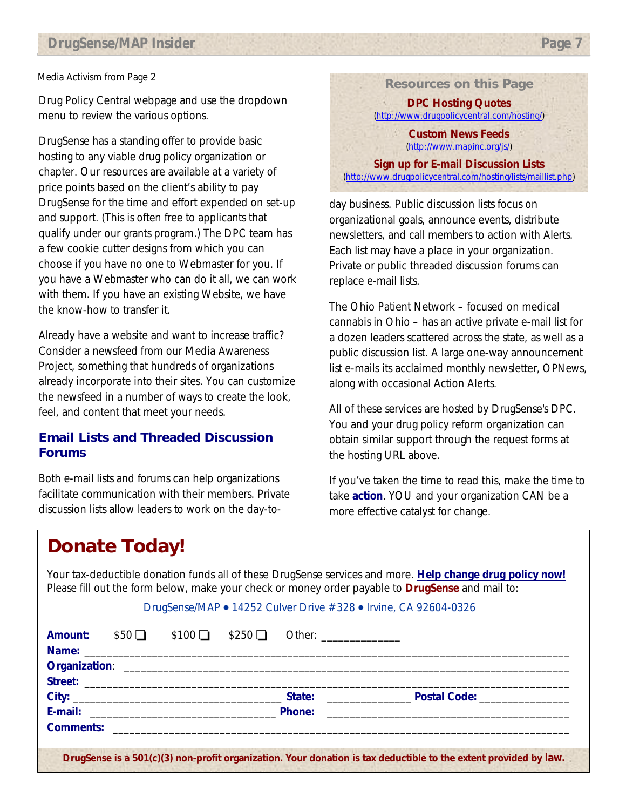### *Media Activism* from Page 2

Drug Policy Central webpage and use the dropdown menu to review the various options.

DrugSense has a standing offer to provide basic hosting to any viable drug policy organization or chapter. Our resources are available at a variety of price points based on the client's ability to pay DrugSense for the time and effort expended on set-up and support. (This is often free to applicants that qualify under our grants program.) The DPC team has a few cookie cutter designs from which you can choose if you have no one to Webmaster for you. If you have a Webmaster who can do it all, we can work with them. If you have an existing Website, we have the know-how to transfer it.

Already have a website and want to increase traffic? Consider a newsfeed from our Media Awareness Project, something that hundreds of organizations already incorporate into their sites. You can customize the newsfeed in a number of ways to create the look, feel, and content that meet your needs.

### **Email Lists and Threaded Discussion Forums**

Both e-mail lists and forums can help organizations facilitate communication with their members. Private discussion lists allow leaders to work on the day-to**Resources on this Page**

**DPC Hosting Quotes** (http://www.drugpolicycentral.com/hosting/)

**Custom News Feeds** (http://www.mapinc.org/js/)

**Sign up for E-mail Discussion Lists** (http://www.drugpolicycentral.com/hosting/lists/maillist.php)

day business. Public discussion lists focus on organizational goals, announce events, distribute newsletters, and call members to action with Alerts. Each list may have a place in your organization. Private or public threaded discussion forums can replace e-mail lists.

The Ohio Patient Network – focused on medical cannabis in Ohio – has an active private e-mail list for a dozen leaders scattered across the state, as well as a public discussion list. A large one-way announcement list e-mails its acclaimed monthly newsletter, *OPNews*, along with occasional Action Alerts.

All of these services are hosted by DrugSense's DPC. You and your drug policy reform organization can obtain similar support through the request forms at the hosting URL above.

If you've taken the time to read this, make the time to take **action**. YOU and your organization CAN be a more effective catalyst for change.

### **Donate Today!**

Your tax-deductible donation funds all of these DrugSense services and more. **Help change drug policy now!**  Please fill out the form below, make your check or money order payable to **DrugSense** and mail to:

#### DrugSense/MAP • 14252 Culver Drive #328 • Irvine, CA 92604-0326

| Amount: | $$50\Box$ | $$100$ $$250$ $\Box$ | Other: ________________ |  |
|---------|-----------|----------------------|-------------------------|--|
|         |           |                      |                         |  |
|         |           |                      |                         |  |
|         |           |                      |                         |  |
|         |           |                      |                         |  |
|         |           |                      |                         |  |
|         |           |                      |                         |  |
|         |           |                      |                         |  |